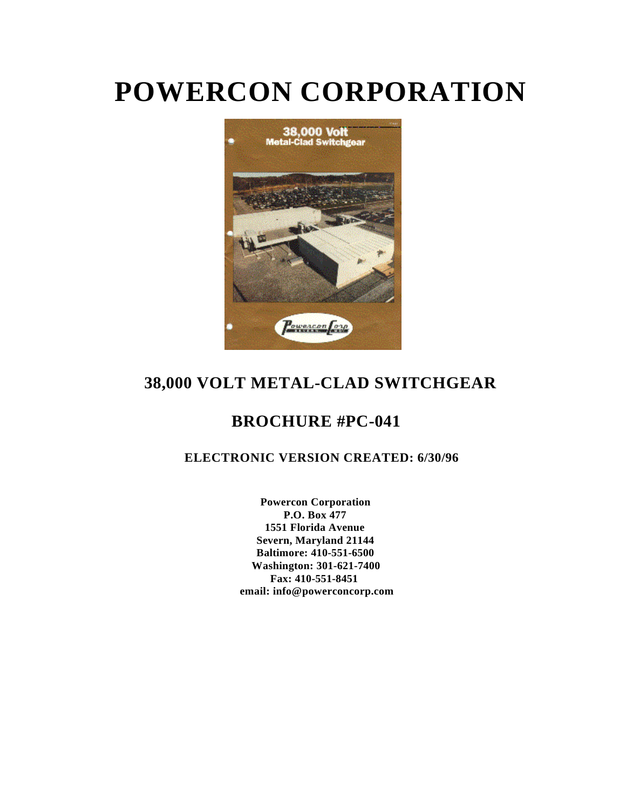# **POWERCON CORPORATION**



## **38,000 VOLT METAL-CLAD SWITCHGEAR**

## **BROCHURE #PC-041**

### **ELECTRONIC VERSION CREATED: 6/30/96**

**Powercon Corporation P.O. Box 477 1551 Florida Avenue Severn, Maryland 21144 Baltimore: 410-551-6500 Washington: 301-621-7400 Fax: 410-551-8451 email: info@powerconcorp.com**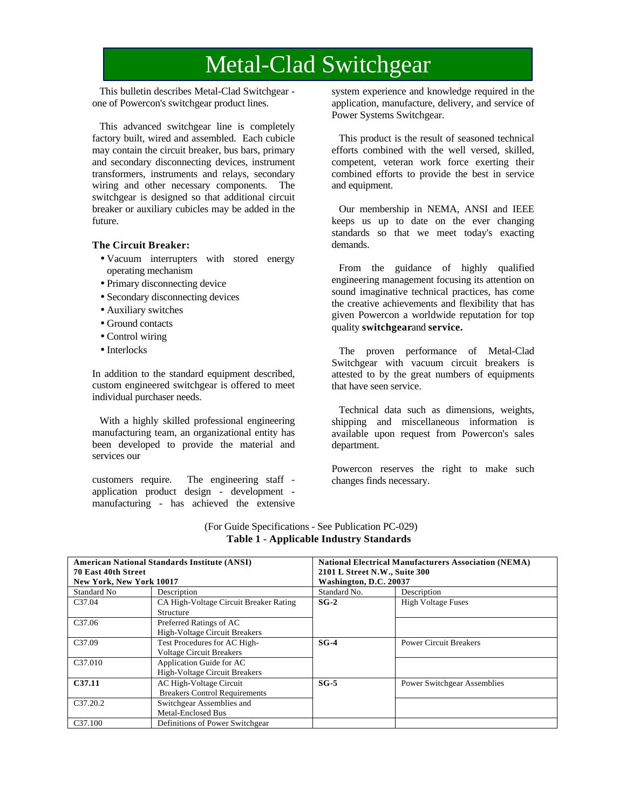## Metal-Clad Switchgear

This bulletin describes Metal-Clad Switchgear one of Powercon's switchgear product lines.

This advanced switchgear line is completely factory built, wired and assembled. Each cubicle may contain the circuit breaker, bus bars, primary and secondary disconnecting devices, instrument transformers, instruments and relays, secondary wiring and other necessary components. The switchgear is designed so that additional circuit breaker or auxiliary cubicles may be added in the future.

#### **The Circuit Breaker:**

- Vacuum interrupters with stored energy operating mechanism
- Primary disconnecting device
- Secondary disconnecting devices
- Auxiliary switches
- Ground contacts
- Control wiring
- Interlocks

In addition to the standard equipment described, custom engineered switchgear is offered to meet individual purchaser needs.

With a highly skilled professional engineering manufacturing team, an organizational entity has been developed to provide the material and services our

customers require. The engineering staff application product design - development manufacturing - has achieved the extensive system experience and knowledge required in the application, manufacture, delivery, and service of Power Systems Switchgear.

This product is the result of seasoned technical efforts combined with the well versed, skilled, competent, veteran work force exerting their combined efforts to provide the best in service and equipment.

Our membership in NEMA, ANSI and IEEE keeps us up to date on the ever changing standards so that we meet today's exacting demands.

From the guidance of highly qualified engineering management focusing its attention on sound imaginative technical practices, has come the creative achievements and flexibility that has given Powercon a worldwide reputation for top quality **switchgearand service.** 

The proven performance of Metal-Clad Switchgear with vacuum circuit breakers is attested to by the great numbers of equipments that have seen service.

Technical data such as dimensions, weights, shipping and miscellaneous information is available upon request from Powercon's sales department.

Powercon reserves the right to make such changes finds necessary.

| <b>American National Standards Institute (ANSI)</b> |                                        | <b>National Electrical Manufacturers Association (NEMA)</b> |                                    |  |  |  |
|-----------------------------------------------------|----------------------------------------|-------------------------------------------------------------|------------------------------------|--|--|--|
| <b>70 East 40th Street</b>                          |                                        | 2101 L Street N.W., Suite 300                               |                                    |  |  |  |
| New York, New York 10017                            |                                        | Washington, D.C. 20037                                      |                                    |  |  |  |
| Standard No                                         | Description                            | Standard No.                                                | Description                        |  |  |  |
| C <sub>37.04</sub>                                  | CA High-Voltage Circuit Breaker Rating | $SG-2$                                                      | <b>High Voltage Fuses</b>          |  |  |  |
|                                                     | Structure                              |                                                             |                                    |  |  |  |
| C <sub>37.06</sub>                                  | Preferred Ratings of AC                |                                                             |                                    |  |  |  |
|                                                     | <b>High-Voltage Circuit Breakers</b>   |                                                             |                                    |  |  |  |
| C <sub>37.09</sub>                                  | Test Procedures for AC High-           | $SG-4$                                                      | <b>Power Circuit Breakers</b>      |  |  |  |
|                                                     | <b>Voltage Circuit Breakers</b>        |                                                             |                                    |  |  |  |
| C <sub>37.010</sub>                                 | Application Guide for AC               |                                                             |                                    |  |  |  |
|                                                     | <b>High-Voltage Circuit Breakers</b>   |                                                             |                                    |  |  |  |
| C37.11                                              | AC High-Voltage Circuit                | $SG-5$                                                      | <b>Power Switchgear Assemblies</b> |  |  |  |
|                                                     | <b>Breakers Control Requirements</b>   |                                                             |                                    |  |  |  |
| C37.20.2                                            | Switchgear Assemblies and              |                                                             |                                    |  |  |  |
|                                                     | <b>Metal-Enclosed Bus</b>              |                                                             |                                    |  |  |  |
| C <sub>37.100</sub>                                 | Definitions of Power Switchgear        |                                                             |                                    |  |  |  |

#### (For Guide Specifications - See Publication PC-029) **Table 1 - Applicable Industry Standards**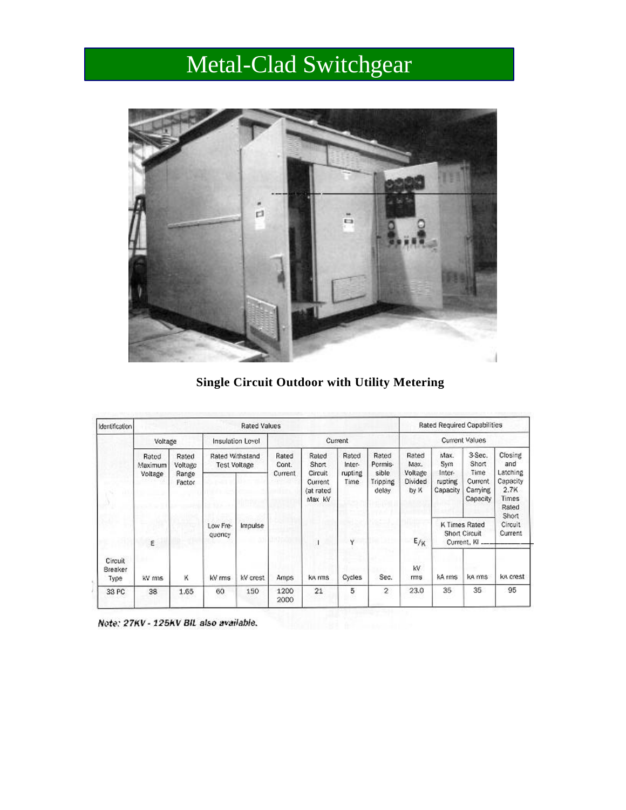# Metal-Clad Switchgear



**Single Circuit Outdoor with Utility Metering**

| Identification             | <b>Rated Values</b>          |                                     |                                        |          |                |                                           |                 |                             | Rated Required Capabilities |                                                      |                                 |                                                         |
|----------------------------|------------------------------|-------------------------------------|----------------------------------------|----------|----------------|-------------------------------------------|-----------------|-----------------------------|-----------------------------|------------------------------------------------------|---------------------------------|---------------------------------------------------------|
|                            | Voltage                      |                                     | Insulation Level                       |          | Current        |                                           |                 | Current Values              |                             |                                                      |                                 |                                                         |
|                            | Rated.<br>Maximum<br>Voltage | Rated<br>Voltage<br>Range<br>Factor | Rated Withstand<br><b>Test Voltage</b> |          | Rated<br>Cont. | Rated<br><b>Short</b>                     | Rated<br>Inter- | Rated<br>Permis-            | Rated<br>Max.               | Max.<br>Sym<br>Inter-                                | 3-Sec.<br>Short<br>Time         | Closing<br>and                                          |
|                            |                              |                                     |                                        |          | Current        | Circuit<br>Current<br>(at rated<br>Max kV | rupting<br>Time | sible.<br>Tripping<br>delay | Voltage<br>Divided<br>by X  | rupting<br>Capacity                                  | Current<br>Carrying<br>Capacity | Latching<br>Capacity<br>2.7K<br>Times<br>Rated<br>Short |
|                            | ε                            |                                     | Low Fre-<br>quency                     | Impulse  |                | ı                                         | ٧               |                             | $E_{/K}$                    | <b>K Times Rated</b><br>Short Circuit<br>Current, KI |                                 | Circuit<br>Current                                      |
| Circuit<br>Breaker<br>Type | kV mns                       | к                                   | kV rms                                 | kV crest | Amps           | ka mns                                    | Cycles          | Sec.                        | kV.<br>rms                  | kA rms                                               | ka ms                           | ka crest                                                |
| 38 PC                      | 38                           | 1.65                                | 60                                     | 150      | 1200<br>2000   | 21                                        | 5               | $\overline{2}$              | 23.0                        | 35                                                   | 35                              | 95                                                      |

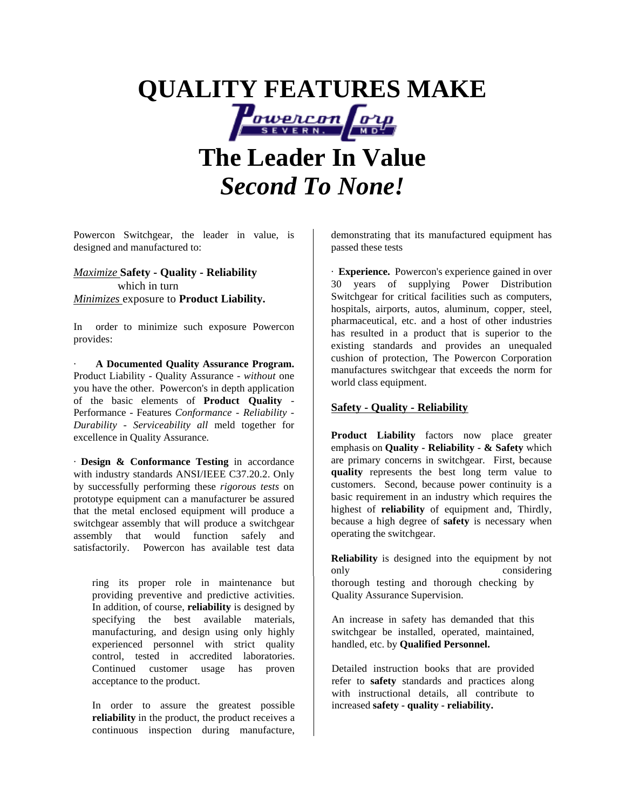# **QUALITY FEATURES MAKE OWERCON O'UD The Leader In Value** *Second To None!*

Powercon Switchgear, the leader in value, is designed and manufactured to:

*Maximize* **Safety - Quality - Reliability** which in turn *Minimizes* exposure to **Product Liability.**

In order to minimize such exposure Powercon provides:

· **A Documented Quality Assurance Program.** Product Liability - Quality Assurance - *without* one you have the other. Powercon's in depth application of the basic elements of **Product Quality** *-* Performance - Features *Conformance - Reliability - Durability - Serviceability all* meld together for excellence in Quality Assurance.

· **Design & Conformance Testing** in accordance with industry standards ANSI/IEEE C37.20.2. Only by successfully performing these *rigorous tests* on prototype equipment can a manufacturer be assured that the metal enclosed equipment will produce a switchgear assembly that will produce a switchgear assembly that would function safely and satisfactorily. Powercon has available test data

ring its proper role in maintenance but providing preventive and predictive activities. In addition, of course, **reliability** is designed by specifying the best available materials, manufacturing, and design using only highly experienced personnel with strict quality control, tested in accredited laboratories. Continued customer usage has proven acceptance to the product.

In order to assure the greatest possible **reliability** in the product, the product receives a continuous inspection during manufacture,

demonstrating that its manufactured equipment has passed these tests

· **Experience.** Powercon's experience gained in over 30 years of supplying Power Distribution Switchgear for critical facilities such as computers, hospitals, airports, autos, aluminum, copper, steel, pharmaceutical, etc. and a host of other industries has resulted in a product that is superior to the existing standards and provides an unequaled cushion of protection, The Powercon Corporation manufactures switchgear that exceeds the norm for world class equipment.

#### **Safety - Quality - Reliability**

**Product Liability** factors now place greater emphasis on **Quality - Reliability - & Safety** which are primary concerns in switchgear. First, because **quality** represents the best long term value to customers. Second, because power continuity is a basic requirement in an industry which requires the highest of **reliability** of equipment and, Thirdly, because a high degree of **safety** is necessary when operating the switchgear.

**Reliability** is designed into the equipment by not only considering thorough testing and thorough checking by Quality Assurance Supervision.

An increase in safety has demanded that this switchgear be installed, operated, maintained, handled, etc. by **Qualified Personnel.**

Detailed instruction books that are provided refer to **safety** standards and practices along with instructional details, all contribute to increased **safety - quality - reliability.**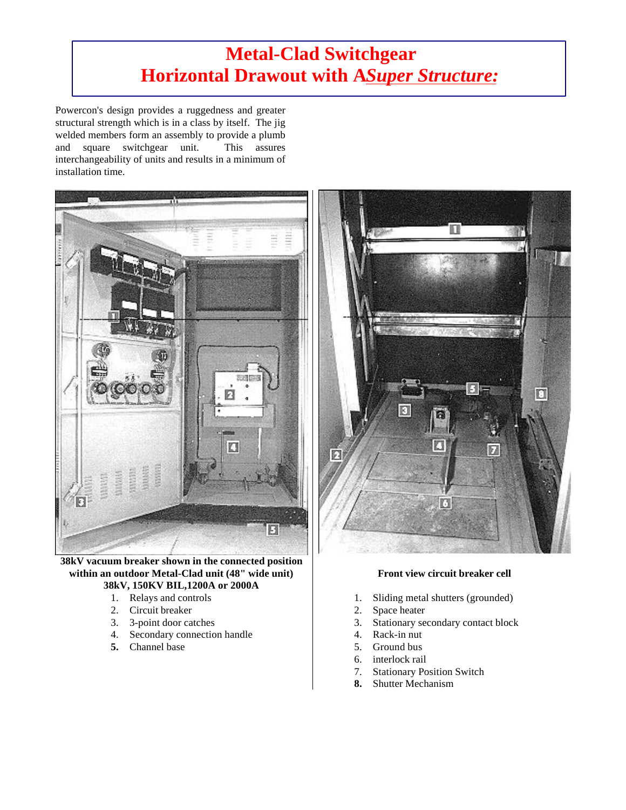## **Metal-Clad Switchgear Horizontal Drawout with A Super Structure:**

Powercon's design provides a ruggedness and greater structural strength which is in a class by itself. The jig welded members form an assembly to provide a plumb and square switchgear unit. This assures interchangeability of units and results in a minimum of installation time.



**38kV vacuum breaker shown in the connected position within an outdoor Metal-Clad unit (48" wide unit) 38kV, 150KV BIL,1200A or 2000A**

- 1. Relays and controls
- 2. Circuit breaker
- 3. 3-point door catches
- 4. Secondary connection handle
- **5.** Channel base



#### **Front view circuit breaker cell**

- 1. Sliding metal shutters (grounded)
- 2. Space heater
- 3. Stationary secondary contact block
- 4. Rack-in nut
- 5. Ground bus
- 6. interlock rail
- 7. Stationary Position Switch
- **8.** Shutter Mechanism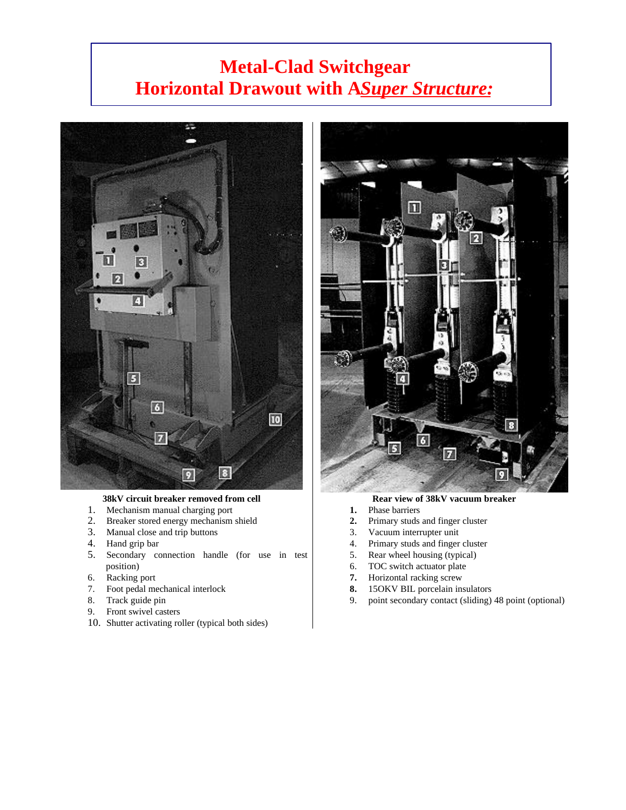## **Metal-Clad Switchgear Horizontal Drawout with A Super Structure:**



#### **38kV circuit breaker removed from cell**

- 1. Mechanism manual charging port
- 2. Breaker stored energy mechanism shield
- 3. Manual close and trip buttons
- 4. Hand grip bar
- 5. Secondary connection handle (for use in test position)
- 6. Racking port
- 7. Foot pedal mechanical interlock
- 8. Track guide pin
- 9. Front swivel casters
- 10. Shutter activating roller (typical both sides)



#### **Rear view of 38kV vacuum breaker**

- **1.** Phase barriers
- **2.** Primary studs and finger cluster
- 3. Vacuum interrupter unit
- 4. Primary studs and finger cluster
- 5. Rear wheel housing (typical)
- 6. TOC switch actuator plate
- **7.** Horizontal racking screw
- **8.** 15OKV BIL porcelain insulators
- 9. point secondary contact (sliding) 48 point (optional)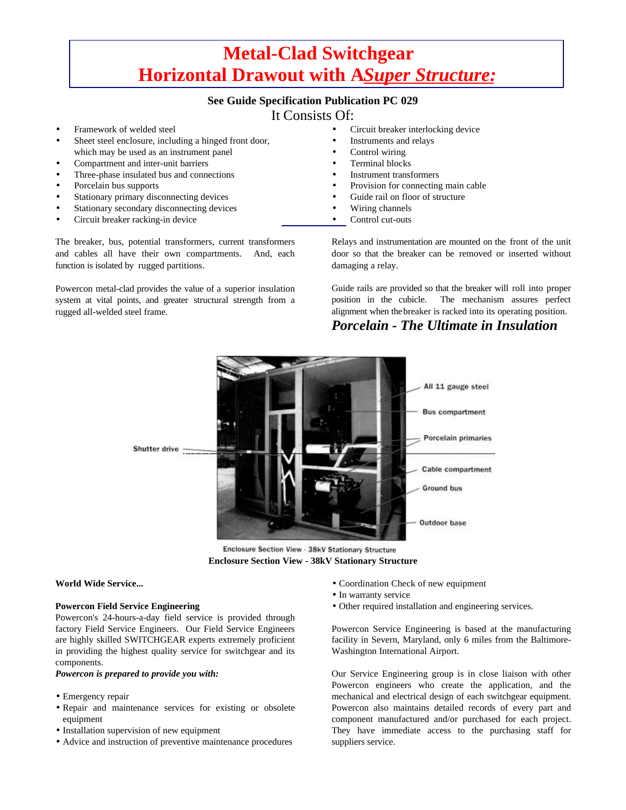## **Metal-Clad Switchgear Horizontal Drawout with A** *Super Structure***:**

#### **See Guide Specification Publication PC 029**

### It Consists Of:

- Framework of welded steel
- Sheet steel enclosure, including a hinged front door, which may be used as an instrument panel
- Compartment and inter-unit barriers
- Three-phase insulated bus and connections
- Porcelain bus supports
- Stationary primary disconnecting devices
- Stationary secondary disconnecting devices
- Circuit breaker racking-in device

The breaker, bus, potential transformers, current transformers and cables all have their own compartments. And, each function is isolated by rugged partitions.

Powercon metal-clad provides the value of a superior insulation system at vital points, and greater structural strength from a rugged all-welded steel frame.

- Circuit breaker interlocking device
	- Instruments and relays
- Control wiring
- Terminal blocks
- Instrument transformers
- Provision for connecting main cable
- Guide rail on floor of structure
- Wiring channels
- Control cut-outs

Relays and instrumentation are mounted on the front of the unit door so that the breaker can be removed or inserted without damaging a relay.

Guide rails are provided so that the breaker will roll into proper position in the cubicle. The mechanism assures perfect alignment when the breaker is racked into its operating position.

### *Porcelain - The Ultimate in Insulation*



Enclosure Section View - 38kV Stationary Structure **Enclosure Section View - 38kV Stationary Structure**

#### **World Wide Service...**

#### **Powercon Field Service Engineering**

Powercon's 24-hours-a-day field service is provided through factory Field Service Engineers. Our Field Service Engineers are highly skilled SWITCHGEAR experts extremely proficient in providing the highest quality service for switchgear and its components.

#### *Powercon is prepared to provide you with:*

- Emergency repair
- Repair and maintenance services for existing or obsolete equipment
- Installation supervision of new equipment
- Advice and instruction of preventive maintenance procedures
- Coordination Check of new equipment
- In warranty service
- Other required installation and engineering services.

Powercon Service Engineering is based at the manufacturing facility in Severn, Maryland, only 6 miles from the Baltimore-Washington International Airport.

Our Service Engineering group is in close liaison with other Powercon engineers who create the application, and the mechanical and electrical design of each switchgear equipment. Powercon also maintains detailed records of every part and component manufactured and/or purchased for each project. They have immediate access to the purchasing staff for suppliers service.